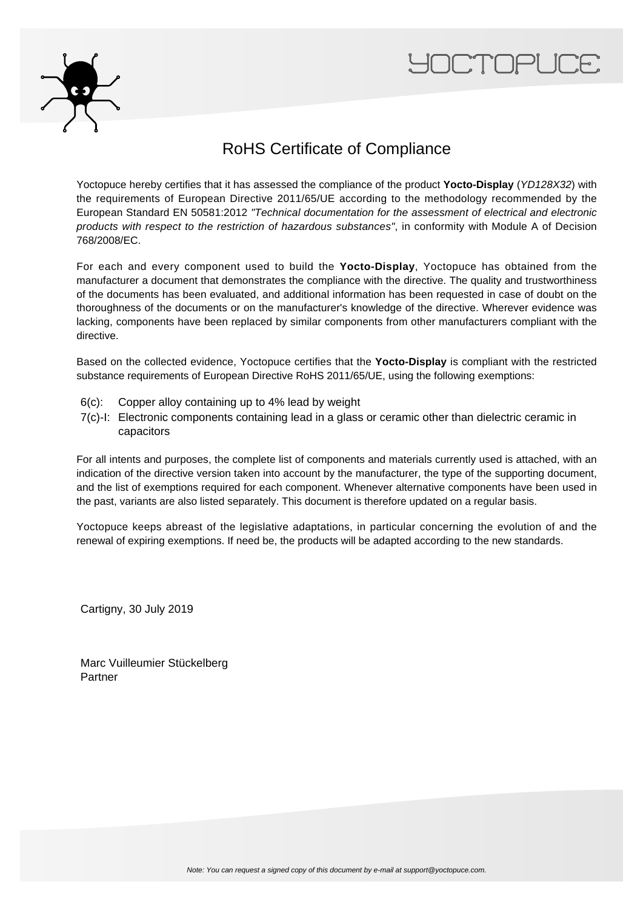



## RoHS Certificate of Compliance

Yoctopuce hereby certifies that it has assessed the compliance of the product **Yocto-Display** (YD128X32) with the requirements of European Directive 2011/65/UE according to the methodology recommended by the European Standard EN 50581:2012 "Technical documentation for the assessment of electrical and electronic products with respect to the restriction of hazardous substances", in conformity with Module A of Decision 768/2008/EC.

For each and every component used to build the **Yocto-Display**, Yoctopuce has obtained from the manufacturer a document that demonstrates the compliance with the directive. The quality and trustworthiness of the documents has been evaluated, and additional information has been requested in case of doubt on the thoroughness of the documents or on the manufacturer's knowledge of the directive. Wherever evidence was lacking, components have been replaced by similar components from other manufacturers compliant with the directive.

Based on the collected evidence, Yoctopuce certifies that the **Yocto-Display** is compliant with the restricted substance requirements of European Directive RoHS 2011/65/UE, using the following exemptions:

- 6(c): Copper alloy containing up to 4% lead by weight
- 7(c)-I: Electronic components containing lead in a glass or ceramic other than dielectric ceramic in capacitors

For all intents and purposes, the complete list of components and materials currently used is attached, with an indication of the directive version taken into account by the manufacturer, the type of the supporting document, and the list of exemptions required for each component. Whenever alternative components have been used in the past, variants are also listed separately. This document is therefore updated on a regular basis.

Yoctopuce keeps abreast of the legislative adaptations, in particular concerning the evolution of and the renewal of expiring exemptions. If need be, the products will be adapted according to the new standards.

Cartigny, 30 July 2019

Marc Vuilleumier Stückelberg Partner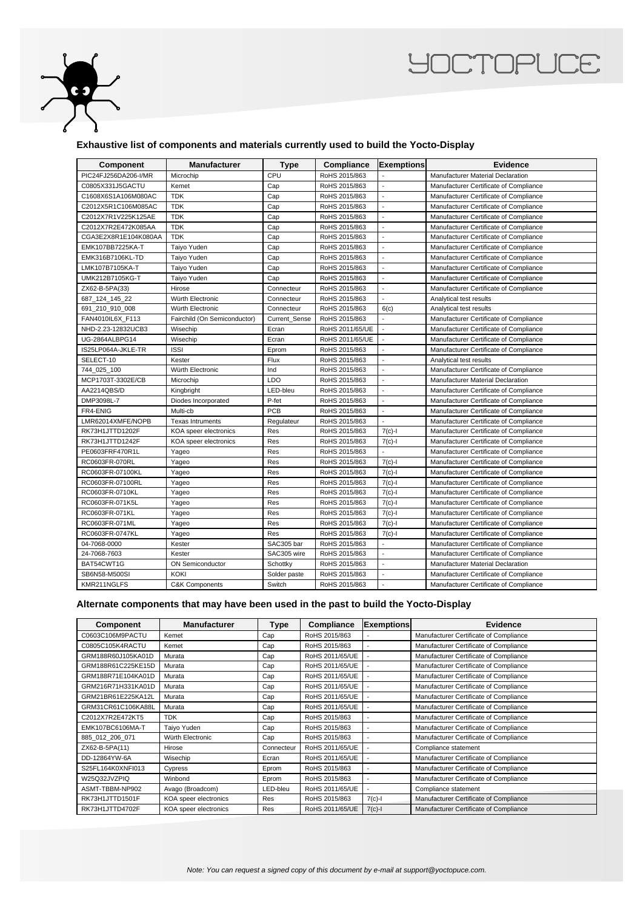

## **YOCTOPUCE**

## **Exhaustive list of components and materials currently used to build the Yocto-Display**

| Component            | Manufacturer                 | <b>Type</b>   | Compliance      | <b>Exemptions</b>        | Evidence                               |
|----------------------|------------------------------|---------------|-----------------|--------------------------|----------------------------------------|
| PIC24FJ256DA206-I/MR | Microchip                    | CPU           | RoHS 2015/863   |                          | Manufacturer Material Declaration      |
| C0805X331J5GACTU     | Kemet                        | Cap           | RoHS 2015/863   | $\overline{a}$           | Manufacturer Certificate of Compliance |
| C1608X6S1A106M080AC  | <b>TDK</b>                   | Cap           | RoHS 2015/863   | $\overline{a}$           | Manufacturer Certificate of Compliance |
| C2012X5R1C106M085AC  | <b>TDK</b>                   | Cap           | RoHS 2015/863   | $\overline{\phantom{a}}$ | Manufacturer Certificate of Compliance |
| C2012X7R1V225K125AE  | <b>TDK</b>                   | Cap           | RoHS 2015/863   | $\bar{\phantom{a}}$      | Manufacturer Certificate of Compliance |
| C2012X7R2E472K085AA  | <b>TDK</b>                   | Cap           | RoHS 2015/863   | $\overline{\phantom{a}}$ | Manufacturer Certificate of Compliance |
| CGA3E2X8R1E104K080AA | <b>TDK</b>                   | Cap           | RoHS 2015/863   | $\overline{\phantom{a}}$ | Manufacturer Certificate of Compliance |
| EMK107BB7225KA-T     | Taiyo Yuden                  | Cap           | RoHS 2015/863   | $\overline{a}$           | Manufacturer Certificate of Compliance |
| EMK316B7106KL-TD     | Taiyo Yuden                  | Cap           | RoHS 2015/863   | $\overline{\phantom{a}}$ | Manufacturer Certificate of Compliance |
| LMK107B7105KA-T      | Taiyo Yuden                  | Cap           | RoHS 2015/863   | $\overline{a}$           | Manufacturer Certificate of Compliance |
| UMK212B7105KG-T      | Taiyo Yuden                  | Cap           | RoHS 2015/863   | $\ddot{\phantom{a}}$     | Manufacturer Certificate of Compliance |
| ZX62-B-5PA(33)       | Hirose                       | Connecteur    | RoHS 2015/863   | $\blacksquare$           | Manufacturer Certificate of Compliance |
| 687 124 145 22       | Würth Electronic             | Connecteur    | RoHS 2015/863   | $\sim$                   | Analytical test results                |
| 691_210_910_008      | Würth Electronic             | Connecteur    | RoHS 2015/863   | 6(c)                     | Analytical test results                |
| FAN4010IL6X F113     | Fairchild (On Semiconductor) | Current_Sense | RoHS 2015/863   | $\overline{a}$           | Manufacturer Certificate of Compliance |
| NHD-2.23-12832UCB3   | Wisechip                     | Ecran         | RoHS 2011/65/UE | $\overline{\phantom{a}}$ | Manufacturer Certificate of Compliance |
| UG-2864ALBPG14       | Wisechip                     | Ecran         | RoHS 2011/65/UE | $\overline{a}$           | Manufacturer Certificate of Compliance |
| IS25LP064A-JKLE-TR   | <b>ISSI</b>                  | Eprom         | RoHS 2015/863   | $\overline{\phantom{a}}$ | Manufacturer Certificate of Compliance |
| SELECT-10            | Kester                       | Flux          | RoHS 2015/863   | $\overline{a}$           | Analytical test results                |
| 744_025_100          | Würth Electronic             | Ind           | RoHS 2015/863   | $\ddot{\phantom{a}}$     | Manufacturer Certificate of Compliance |
| MCP1703T-3302E/CB    | Microchip                    | LDO           | RoHS 2015/863   | $\overline{\phantom{a}}$ | Manufacturer Material Declaration      |
| AA2214QBS/D          | Kingbright                   | LED-bleu      | RoHS 2015/863   | $\overline{\phantom{a}}$ | Manufacturer Certificate of Compliance |
| DMP3098L-7           | Diodes Incorporated          | P-fet         | RoHS 2015/863   | $\overline{a}$           | Manufacturer Certificate of Compliance |
| FR4-ENIG             | Multi-cb                     | PCB           | RoHS 2015/863   | $\overline{a}$           | Manufacturer Certificate of Compliance |
| LMR62014XMFE/NOPB    | <b>Texas Intruments</b>      | Regulateur    | RoHS 2015/863   | $\overline{a}$           | Manufacturer Certificate of Compliance |
| RK73H1JTTD1202F      | KOA speer electronics        | Res           | RoHS 2015/863   | $7(c)-1$                 | Manufacturer Certificate of Compliance |
| RK73H1JTTD1242F      | KOA speer electronics        | Res           | RoHS 2015/863   | $7(c)-1$                 | Manufacturer Certificate of Compliance |
| PE0603FRF470R1L      | Yageo                        | Res           | RoHS 2015/863   |                          | Manufacturer Certificate of Compliance |
| RC0603FR-070RL       | Yageo                        | Res           | RoHS 2015/863   | $7(c)-1$                 | Manufacturer Certificate of Compliance |
| RC0603FR-07100KL     | Yageo                        | Res           | RoHS 2015/863   | $7(c)-1$                 | Manufacturer Certificate of Compliance |
| RC0603FR-07100RL     | Yageo                        | Res           | RoHS 2015/863   | $7(c)-1$                 | Manufacturer Certificate of Compliance |
| RC0603FR-0710KL      | Yageo                        | Res           | RoHS 2015/863   | $7(c)$ -l                | Manufacturer Certificate of Compliance |
| RC0603FR-071K5L      | Yageo                        | Res           | RoHS 2015/863   | $7(c)$ -l                | Manufacturer Certificate of Compliance |
| RC0603FR-071KL       | Yageo                        | Res           | RoHS 2015/863   | $7(c)$ -l                | Manufacturer Certificate of Compliance |
| RC0603FR-071ML       | Yageo                        | Res           | RoHS 2015/863   | $7(c) - 1$               | Manufacturer Certificate of Compliance |
| RC0603FR-0747KL      | Yageo                        | Res           | RoHS 2015/863   | $7(c) - 1$               | Manufacturer Certificate of Compliance |
| 04-7068-0000         | Kester                       | SAC305 bar    | RoHS 2015/863   | $\sim$                   | Manufacturer Certificate of Compliance |
| 24-7068-7603         | Kester                       | SAC305 wire   | RoHS 2015/863   | $\overline{a}$           | Manufacturer Certificate of Compliance |
| BAT54CWT1G           | <b>ON Semiconductor</b>      | Schottky      | RoHS 2015/863   | $\overline{\phantom{a}}$ | Manufacturer Material Declaration      |
| SB6N58-M500SI        | <b>KOKI</b>                  | Solder paste  | RoHS 2015/863   | $\overline{\phantom{a}}$ | Manufacturer Certificate of Compliance |
| KMR211NGLFS          | <b>C&amp;K Components</b>    | Switch        | RoHS 2015/863   | $\overline{\phantom{a}}$ | Manufacturer Certificate of Compliance |

## **Alternate components that may have been used in the past to build the Yocto-Display**

| <b>Component</b>   | <b>Manufacturer</b>   | Type       | Compliance      | <b>Exemptions</b> | <b>Evidence</b>                        |
|--------------------|-----------------------|------------|-----------------|-------------------|----------------------------------------|
| C0603C106M9PACTU   | Kemet                 | Cap        | RoHS 2015/863   |                   | Manufacturer Certificate of Compliance |
| C0805C105K4RACTU   | Kemet                 | Cap        | RoHS 2015/863   |                   | Manufacturer Certificate of Compliance |
| GRM188R60J105KA01D | Murata                | Cap        | RoHS 2011/65/UE |                   | Manufacturer Certificate of Compliance |
| GRM188R61C225KE15D | Murata                | Cap        | RoHS 2011/65/UE |                   | Manufacturer Certificate of Compliance |
| GRM188R71E104KA01D | Murata                | Cap        | RoHS 2011/65/UE |                   | Manufacturer Certificate of Compliance |
| GRM216R71H331KA01D | Murata                | Cap        | RoHS 2011/65/UE |                   | Manufacturer Certificate of Compliance |
| GRM21BR61E225KA12L | Murata                | Cap        | RoHS 2011/65/UE |                   | Manufacturer Certificate of Compliance |
| GRM31CR61C106KA88L | Murata                | Cap        | RoHS 2011/65/UE |                   | Manufacturer Certificate of Compliance |
| C2012X7R2E472KT5   | <b>TDK</b>            | Cap        | RoHS 2015/863   |                   | Manufacturer Certificate of Compliance |
| EMK107BC6106MA-T   | Taiyo Yuden           | Cap        | RoHS 2015/863   |                   | Manufacturer Certificate of Compliance |
| 885 012 206 071    | Würth Electronic      | Cap        | RoHS 2015/863   |                   | Manufacturer Certificate of Compliance |
| ZX62-B-5PA(11)     | Hirose                | Connecteur | RoHS 2011/65/UE |                   | Compliance statement                   |
| DD-12864YW-6A      | Wisechip              | Ecran      | RoHS 2011/65/UE |                   | Manufacturer Certificate of Compliance |
| S25FL164K0XNFI013  | Cypress               | Eprom      | RoHS 2015/863   |                   | Manufacturer Certificate of Compliance |
| W25Q32JVZPIQ       | Winbond               | Eprom      | RoHS 2015/863   |                   | Manufacturer Certificate of Compliance |
| ASMT-TBBM-NP902    | Avago (Broadcom)      | LED-bleu   | RoHS 2011/65/UE |                   | Compliance statement                   |
| RK73H1JTTD1501F    | KOA speer electronics | Res        | RoHS 2015/863   | $7(c) - 1$        | Manufacturer Certificate of Compliance |
| RK73H1JTTD4702F    | KOA speer electronics | Res        | RoHS 2011/65/UE | $7(c)$ -l         | Manufacturer Certificate of Compliance |